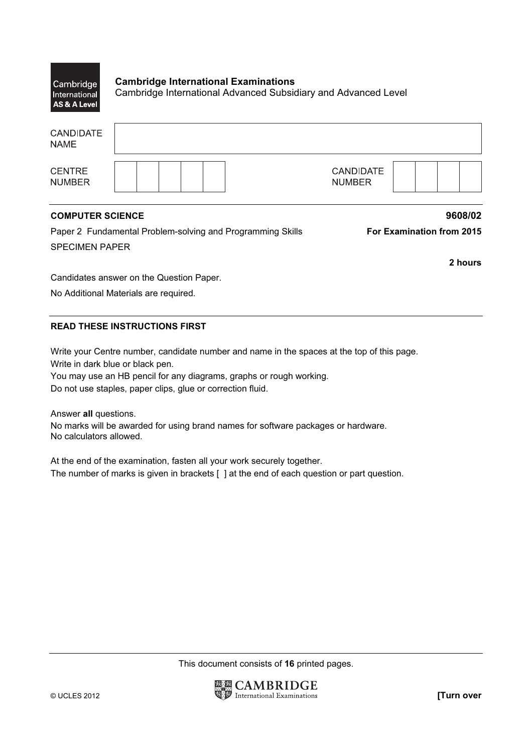| Cambridge<br>International<br><b>AS &amp; A Level</b> | <b>Cambridge International Examinations</b><br>Cambridge International Advanced Subsidiary and Advanced Level |
|-------------------------------------------------------|---------------------------------------------------------------------------------------------------------------|
| <b>CANDIDATE</b><br><b>NAME</b>                       |                                                                                                               |
|                                                       |                                                                                                               |

**CENTRE NUMBER** 

## CANDIDATE **NUMBER**

## COMPUTER SCIENCE 9608/02

Paper 2 Fundamental Problem-solving and Programming Skills **For Examination from 2015** SPECIMEN PAPER

2 hours

Candidates answer on the Question Paper.

No Additional Materials are required.

## READ THESE INSTRUCTIONS FIRST

Write your Centre number, candidate number and name in the spaces at the top of this page. Write in dark blue or black pen.

You may use an HB pencil for any diagrams, graphs or rough working. Do not use staples, paper clips, glue or correction fluid.

Answer all questions.

No marks will be awarded for using brand names for software packages or hardware. No calculators allowed.

At the end of the examination, fasten all your work securely together. The number of marks is given in brackets [ ] at the end of each question or part question.

This document consists of 16 printed pages.

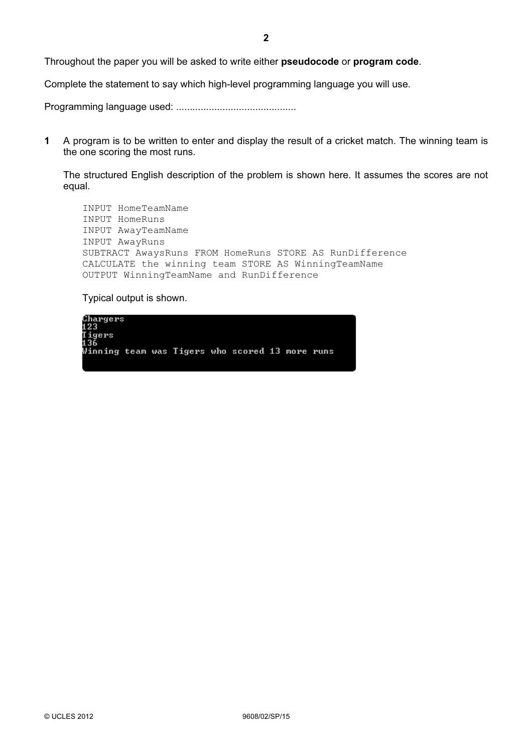Throughout the paper you will be asked to write either pseudocode or program code.

Complete the statement to say which high-level programming language you will use.

Programming language used: ............................................

1 A program is to be written to enter and display the result of a cricket match. The winning team is the one scoring the most runs.

The structured English description of the problem is shown here. It assumes the scores are not equal.

INPUT HomeTeamName INPUT HomeRuns INPUT AwayTeamName INPUT AwayRuns SUBTRACT AwaysRuns FROM HomeRuns STORE AS RunDifference CALCULATE the winning team STORE AS WinningTeamName OUTPUT WinningTeamName and RunDifference

Typical output is shown.

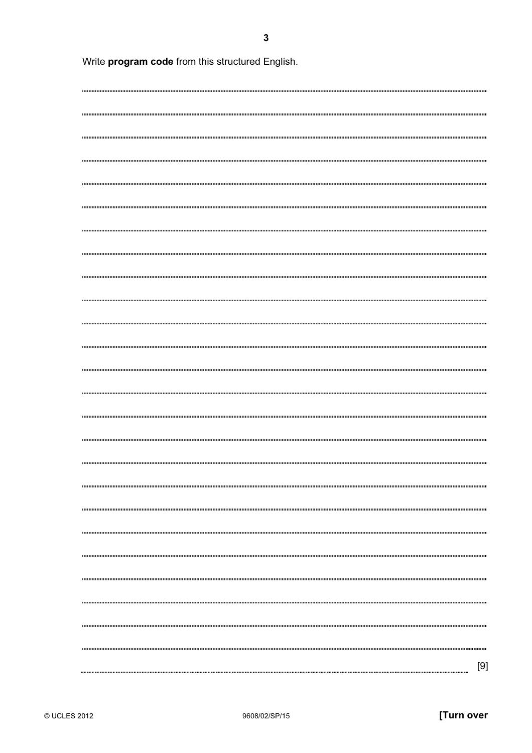Write program code from this structured English. [9]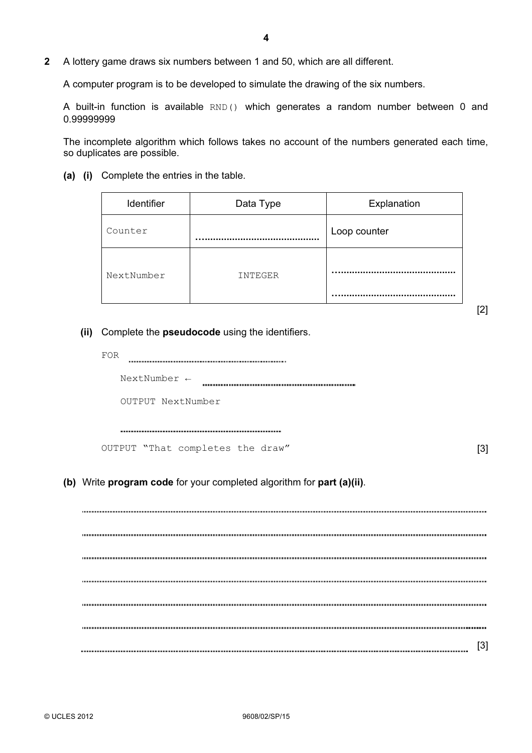2 A lottery game draws six numbers between 1 and 50, which are all different.

A computer program is to be developed to simulate the drawing of the six numbers.

 A built-in function is available RND() which generates a random number between 0 and 0.99999999

 The incomplete algorithm which follows takes no account of the numbers generated each time, so duplicates are possible.

(a) (i) Complete the entries in the table.

| Identifier | Data Type | Explanation  |
|------------|-----------|--------------|
| Counter    |           | Loop counter |
| NextNumber | INTEGER   |              |

[2]

- (ii) Complete the **pseudocode** using the identifiers.
	- FOR THE RESERVE TO A RESERVE THE RESERVE TO A RESERVE THE RESERVE TO A RESERVE THE RESERVE THAN A RESERVE THAN A RESERVE THAN A RESERVE THAN A RESERVE THAN A RESERVE THAN A RESERVE THAN A RESERVE THAN A RESERVE THAN A RESE NextNumber ← OUTPUT NextNumber

OUTPUT "That completes the draw" [3]

(b) Write program code for your completed algorithm for part (a)(ii).

[3]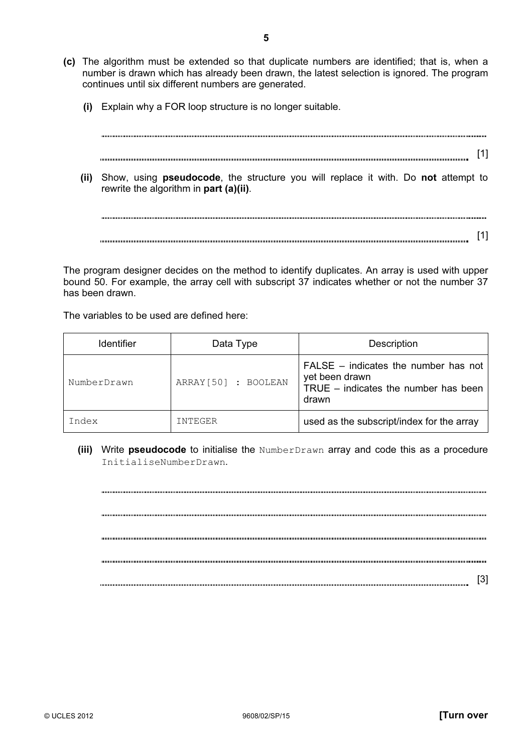- (c) The algorithm must be extended so that duplicate numbers are identified; that is, when a number is drawn which has already been drawn, the latest selection is ignored. The program continues until six different numbers are generated.
	- (i) Explain why a FOR loop structure is no longer suitable.

[1]

(ii) Show, using **pseudocode**, the structure you will replace it with. Do not attempt to rewrite the algorithm in part (a)(ii).

[1]

 The program designer decides on the method to identify duplicates. An array is used with upper bound 50. For example, the array cell with subscript 37 indicates whether or not the number 37 has been drawn.

The variables to be used are defined here:

| <b>Identifier</b> | Data Type           | Description                                                                                                 |
|-------------------|---------------------|-------------------------------------------------------------------------------------------------------------|
| NumberDrawn       | ARRAY[50] : BOOLEAN | $FALSE - indicates the number has not$<br>yet been drawn<br>TRUE $-$ indicates the number has been<br>drawn |
| Index             | INTEGER             | used as the subscript/index for the array                                                                   |

(iii) Write pseudocode to initialise the NumberDrawn array and code this as a procedure InitialiseNumberDrawn.

[3]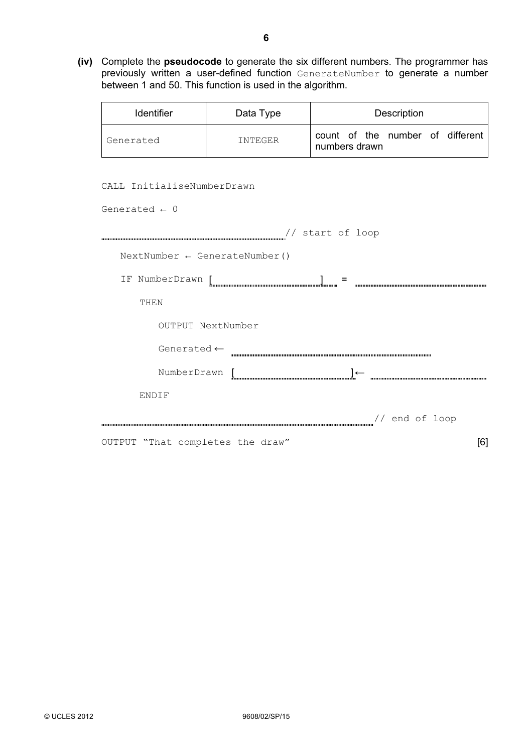(iv) Complete the pseudocode to generate the six different numbers. The programmer has previously written a user-defined function GenerateNumber to generate a number between 1 and 50. This function is used in the algorithm.

| <b>Identifier</b> | Data Type | Description                                       |
|-------------------|-----------|---------------------------------------------------|
| Generated         | INTEGER   | count of the number of different<br>numbers drawn |

CALL InitialiseNumberDrawn

| Generated $\leftarrow 0$                 |
|------------------------------------------|
| // start of loop                         |
| $NextNumber \leftarrow GenerateNumber()$ |
| IF NumberDrawn [<br>$\equiv$             |
| THEN                                     |
| OUTPUT NextNumber                        |
| Generated $\leftarrow$                   |
| NumberDrawn [                            |
| ENDIF                                    |
| // end of loop                           |
| OUTPUT "That completes the draw"<br>[6]  |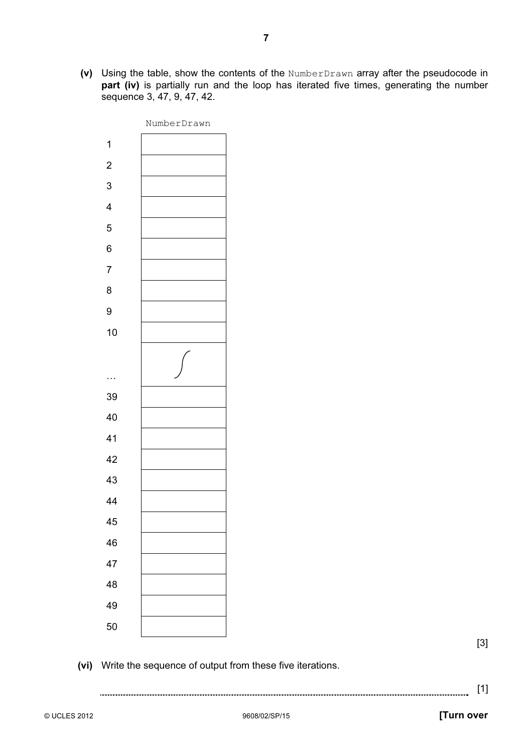(v) Using the table, show the contents of the NumberDrawn array after the pseudocode in part (iv) is partially run and the loop has iterated five times, generating the number sequence 3, 47, 9, 47, 42.



[3]

(vi) Write the sequence of output from these five iterations.

## [1]

© UCLES 2012 **and COVID-1000** 9608/02/SP/15 9608/02/SP/15 **[Turn over**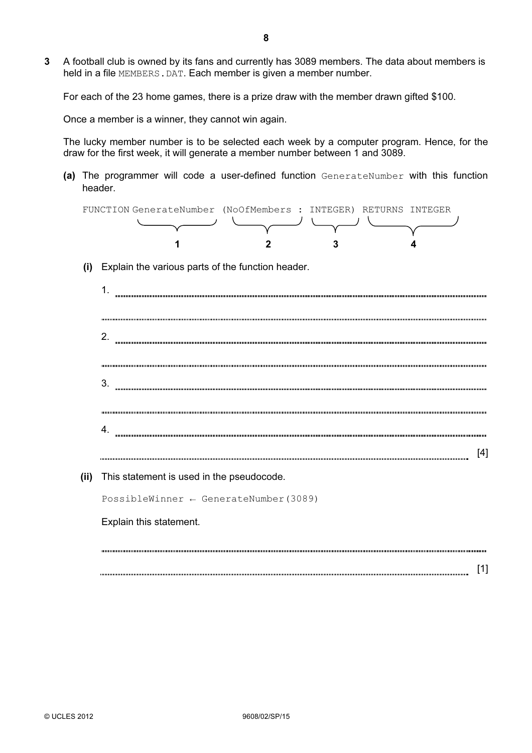3 A football club is owned by its fans and currently has 3089 members. The data about members is held in a file MEMBERS. DAT. Each member is given a member number.

For each of the 23 home games, there is a prize draw with the member drawn gifted \$100.

Once a member is a winner, they cannot win again.

 The lucky member number is to be selected each week by a computer program. Hence, for the draw for the first week, it will generate a member number between 1 and 3089.

(a) The programmer will code a user-defined function GenerateNumber with this function header.



(i) Explain the various parts of the function header.

| $\mathbf 1$                                       |
|---------------------------------------------------|
|                                                   |
| $\overline{2}$ .                                  |
|                                                   |
| 3.                                                |
|                                                   |
| 4.                                                |
| $[4]$                                             |
| (ii) This statement is used in the pseudocode.    |
| PossibleWinner $\leftarrow$ GenerateNumber (3089) |
| Explain this statement.                           |
|                                                   |
| [1]                                               |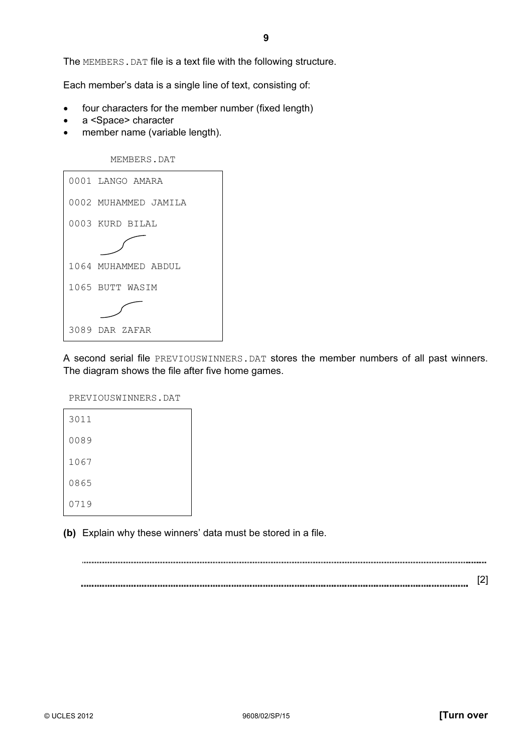The MEMBERS.DAT file is a text file with the following structure.

Each member's data is a single line of text, consisting of:

- four characters for the member number (fixed length)
- a <Space> character
- member name (variable length).



|  | 0001 LANGO AMARA     |
|--|----------------------|
|  | 0002 MUHAMMED JAMILA |
|  | 0003 KURD BILAL      |
|  |                      |
|  | 1064 MUHAMMED ABDUL  |
|  | 1065 BUTT WASIM      |
|  |                      |
|  | 3089 DAR ZAFAR       |

 A second serial file PREVIOUSWINNERS.DAT stores the member numbers of all past winners. The diagram shows the file after five home games.

PREVIOUSWINNERS.DAT

| 3011 |  |  |
|------|--|--|
| 0089 |  |  |
| 1067 |  |  |
| 0865 |  |  |
| 0719 |  |  |

(b) Explain why these winners' data must be stored in a file.

[2]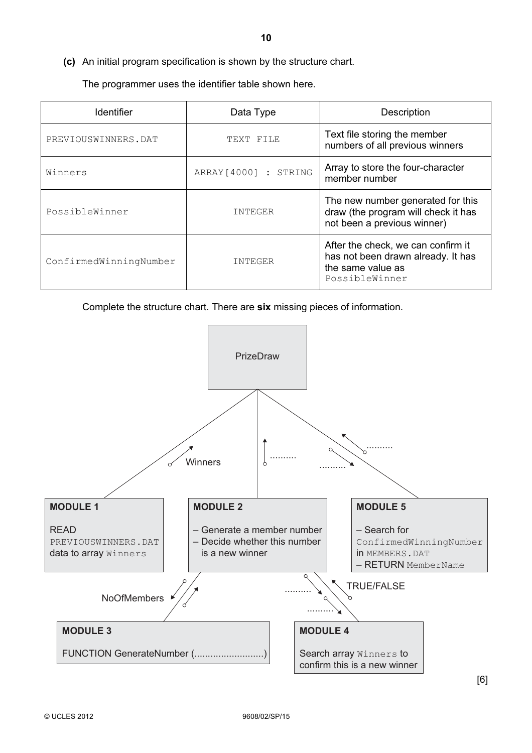The programmer uses the identifier table shown here.

| <b>Identifier</b>      | Data Type            | Description                                                                                                     |
|------------------------|----------------------|-----------------------------------------------------------------------------------------------------------------|
| PREVIOUSWINNERS.DAT    | TEXT FILE            | Text file storing the member<br>numbers of all previous winners                                                 |
| Winners                | ARRAY[4000] : STRING | Array to store the four-character<br>member number                                                              |
| PossibleWinner         | <b>INTEGER</b>       | The new number generated for this<br>draw (the program will check it has<br>not been a previous winner)         |
| ConfirmedWinningNumber | INTEGER              | After the check, we can confirm it<br>has not been drawn already. It has<br>the same value as<br>PossibleWinner |

Complete the structure chart. There are six missing pieces of information.



[6]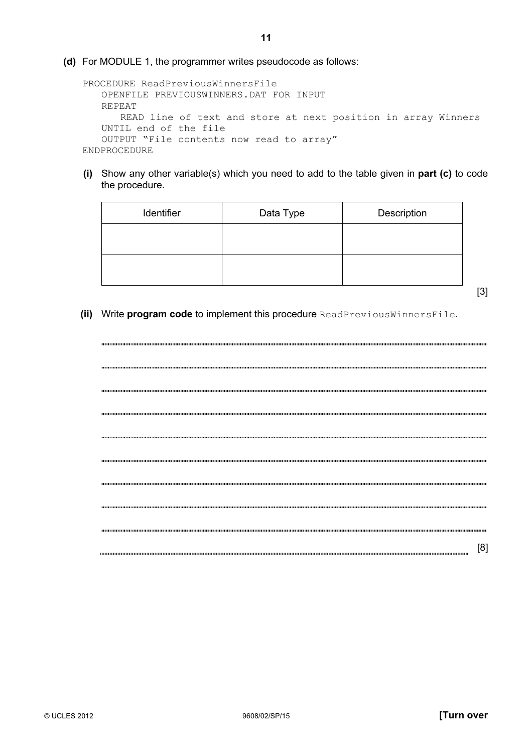```
 PROCEDURE ReadPreviousWinnersFile 
   OPENFILE PREVIOUSWINNERS.DAT FOR INPUT 
   REPEAT 
      READ line of text and store at next position in array Winners 
   UNTIL end of the file 
   OUTPUT "File contents now read to array" 
ENDPROCEDURE
```
 (i) Show any other variable(s) which you need to add to the table given in part (c) to code the procedure.

| Identifier | Data Type | Description |
|------------|-----------|-------------|
|            |           |             |
|            |           |             |
|            |           |             |

- [3]
- (ii) Write program code to implement this procedure ReadPreviousWinnersFile.

| [8] |
|-----|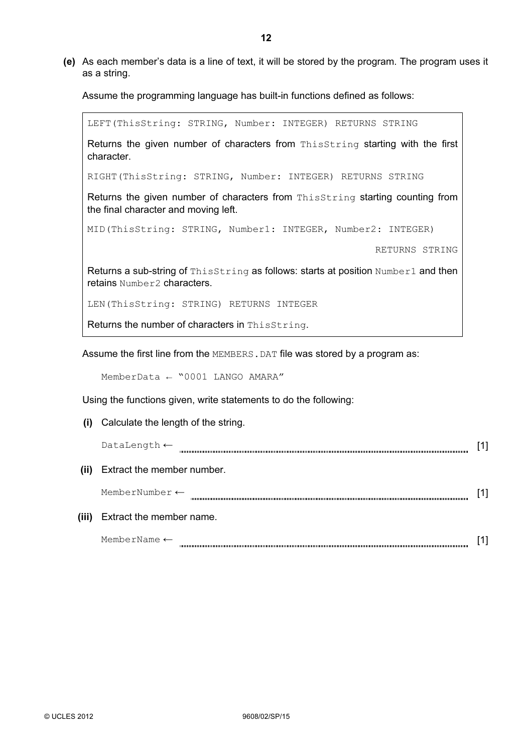(e) As each member's data is a line of text, it will be stored by the program. The program uses it as a string.

Assume the programming language has built-in functions defined as follows:

LEFT(ThisString: STRING, Number: INTEGER) RETURNS STRING Returns the given number of characters from ThisString starting with the first character. RIGHT(ThisString: STRING, Number: INTEGER) RETURNS STRING Returns the given number of characters from ThisString starting counting from the final character and moving left. MID(ThisString: STRING, Number1: INTEGER, Number2: INTEGER) RETURNS STRING Returns a sub-string of ThisString as follows: starts at position Number1 and then retains Number2 characters. LEN(ThisString: STRING) RETURNS INTEGER Returns the number of characters in ThisString.

Assume the first line from the MEMBERS. DAT file was stored by a program as:

MemberData ← "0001 LANGO AMARA"

Using the functions given, write statements to do the following:

| (i)   | Calculate the length of the string. |  |
|-------|-------------------------------------|--|
|       | DataLength $\leftarrow$             |  |
| (iii) | Extract the member number.          |  |
|       | MemberNumber $\leftarrow$           |  |
| (iii) | Extract the member name.            |  |
|       | MemberName $\leftarrow$             |  |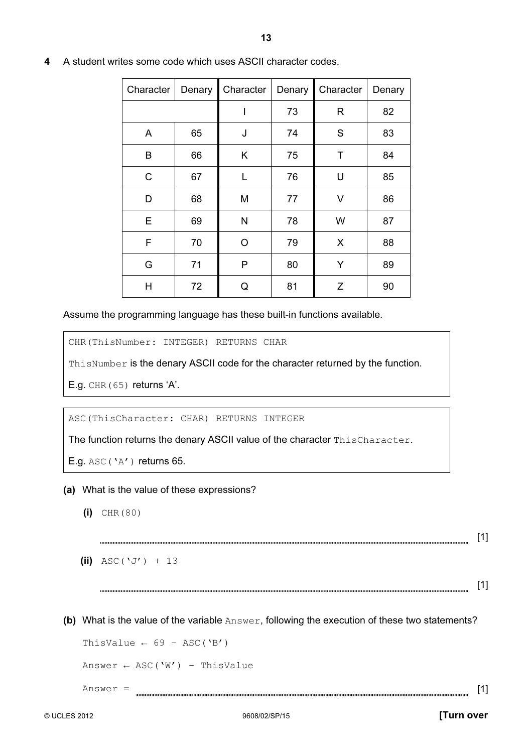| Character | Denary | Character | Denary | Character | Denary |
|-----------|--------|-----------|--------|-----------|--------|
|           |        |           | 73     | R         | 82     |
| A         | 65     | J         | 74     | S         | 83     |
| B         | 66     | Κ         | 75     | Τ         | 84     |
| C         | 67     | L         | 76     | U         | 85     |
| D         | 68     | M         | 77     | V         | 86     |
| Е         | 69     | N         | 78     | W         | 87     |
| F         | 70     | O         | 79     | X         | 88     |
| G         | 71     | P         | 80     | Υ         | 89     |
| Н         | 72     | Q         | 81     | Z         | 90     |

4 A student writes some code which uses ASCII character codes.

Assume the programming language has these built-in functions available.

CHR(ThisNumber: INTEGER) RETURNS CHAR

ThisNumber is the denary ASCII code for the character returned by the function.

E.g. CHR(65) returns 'A'.

ASC(ThisCharacter: CHAR) RETURNS INTEGER

The function returns the denary ASCII value of the character ThisCharacter.

- E.g.  $\text{ASC}(\Delta Y)$  returns 65.
- (a) What is the value of these expressions?
	- $(i)$  CHR(80)

[1] 

(ii)  $\text{ASC}(\Upsilon \text{ J'}) + 13$ 

[1] 

(b) What is the value of the variable  $Answer$ , following the execution of these two statements?

ThisValue  $\leftarrow$  69 – ASC('B')

Answer  $\leftarrow$  ASC('W') - ThisValue

 $Answer =$  [1]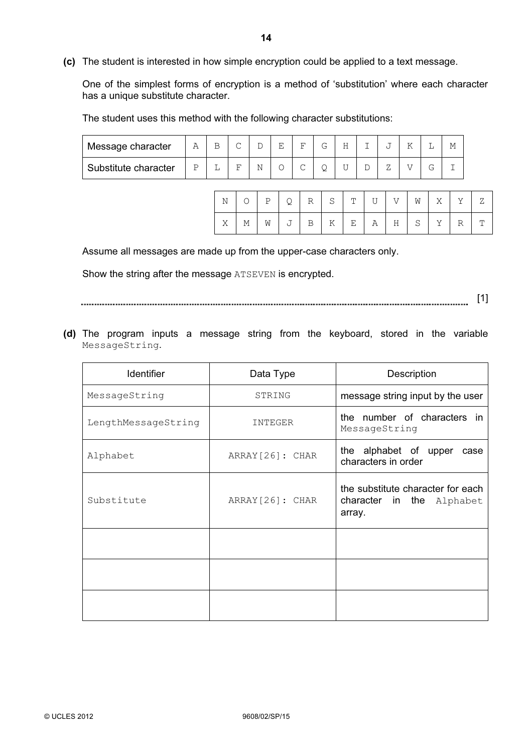(c) The student is interested in how simple encryption could be applied to a text message.

 One of the simplest forms of encryption is a method of 'substitution' where each character has a unique substitute character.

The student uses this method with the following character substitutions:

| Message character    | Α | $\sim$ | ◡ | E | ਸ਼ਾ    | G | Η |   |   |    | М |
|----------------------|---|--------|---|---|--------|---|---|---|---|----|---|
| Substitute character |   | ᠇      | Ν |   | $\sim$ | ⊻ |   | ∸ | ь | Г. |   |

|  | N O P Q R S T U V W X Y Z                           |  |  |  |  |  |
|--|-----------------------------------------------------|--|--|--|--|--|
|  | $X$   M   W   J   B   K   E   A   H   S   Y   R   T |  |  |  |  |  |

Assume all messages are made up from the upper-case characters only.

Show the string after the message ATSEVEN is encrypted.

[1] 

 (d) The program inputs a message string from the keyboard, stored in the variable MessageString.

| <b>Identifier</b>   | Data Type        | Description                                                              |  |  |  |  |
|---------------------|------------------|--------------------------------------------------------------------------|--|--|--|--|
| MessageString       | STRING           | message string input by the user                                         |  |  |  |  |
| LengthMessageString | INTEGER          | the number of characters in<br>MessageString                             |  |  |  |  |
| Alphabet            | ARRAY [26]: CHAR | the alphabet of upper<br>case<br>characters in order                     |  |  |  |  |
| Substitute          | ARRAY [26]: CHAR | the substitute character for each<br>character in the Alphabet<br>array. |  |  |  |  |
|                     |                  |                                                                          |  |  |  |  |
|                     |                  |                                                                          |  |  |  |  |
|                     |                  |                                                                          |  |  |  |  |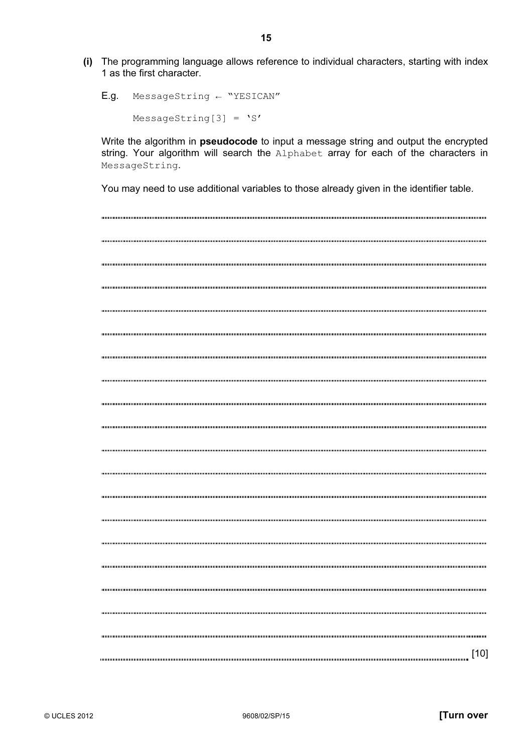(i) The programming language allows reference to individual characters, starting with index 1 as the first character.

 E.g. MessageString ← "YESICAN" MessageString[3] =  $'S'$ 

Write the algorithm in **pseudocode** to input a message string and output the encrypted string. Your algorithm will search the Alphabet array for each of the characters in MessageString.

You may need to use additional variables to those already given in the identifier table.

[10]